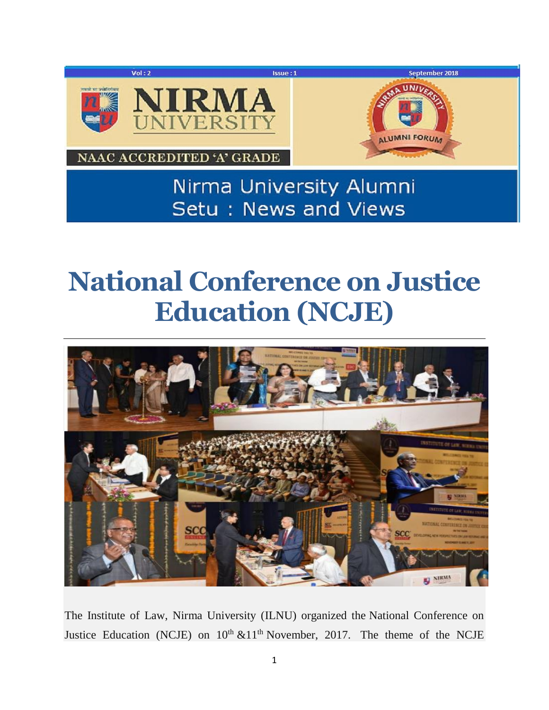

## **National Conference on Justice Education (NCJE)**



The Institute of Law, Nirma University (ILNU) organized the National Conference on Justice Education (NCJE) on  $10<sup>th</sup> \& 11<sup>th</sup>$  November, 2017. The theme of the NCJE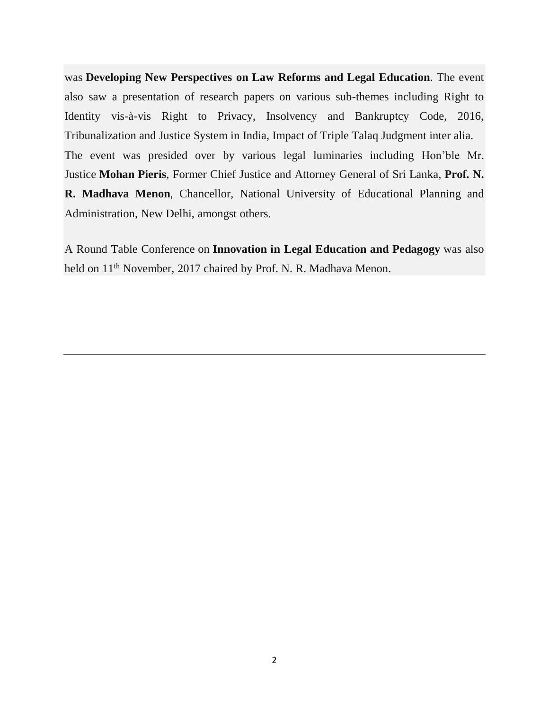was **Developing New Perspectives on Law Reforms and Legal Education**. The event also saw a presentation of research papers on various sub-themes including Right to Identity vis-à-vis Right to Privacy, Insolvency and Bankruptcy Code, 2016, Tribunalization and Justice System in India, Impact of Triple Talaq Judgment inter alia. The event was presided over by various legal luminaries including Hon'ble Mr. Justice **Mohan Pieris**, Former Chief Justice and Attorney General of Sri Lanka, **Prof. N. R. Madhava Menon**, Chancellor, National University of Educational Planning and Administration, New Delhi, amongst others.

A Round Table Conference on **Innovation in Legal Education and Pedagogy** was also held on 11<sup>th</sup> November, 2017 chaired by Prof. N. R. Madhava Menon.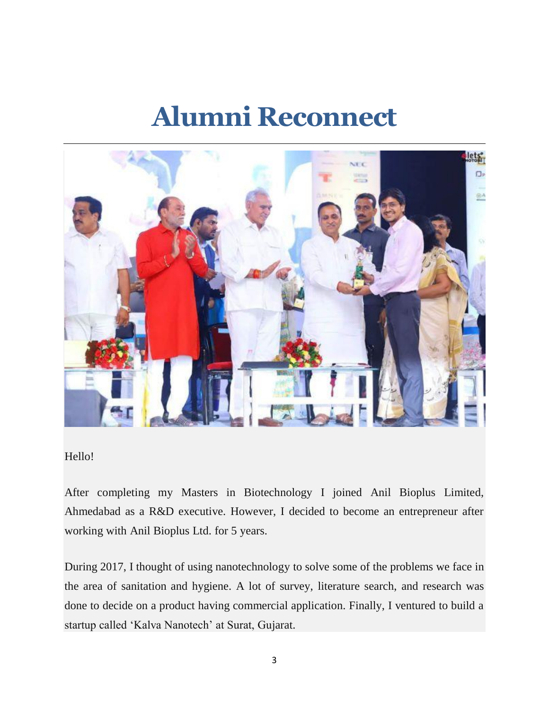### **Alumni Reconnect**



#### Hello!

After completing my Masters in Biotechnology I joined Anil Bioplus Limited, Ahmedabad as a R&D executive. However, I decided to become an entrepreneur after working with Anil Bioplus Ltd. for 5 years.

During 2017, I thought of using nanotechnology to solve some of the problems we face in the area of sanitation and hygiene. A lot of survey, literature search, and research was done to decide on a product having commercial application. Finally, I ventured to build a startup called 'Kalva Nanotech' at Surat, Gujarat.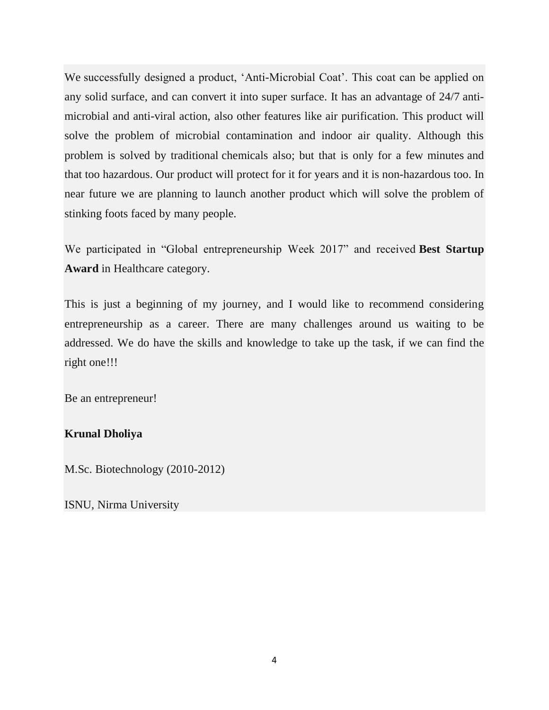We successfully designed a product, 'Anti-Microbial Coat'. This coat can be applied on any solid surface, and can convert it into super surface. It has an advantage of 24/7 antimicrobial and anti-viral action, also other features like air purification. This product will solve the problem of microbial contamination and indoor air quality. Although this problem is solved by traditional chemicals also; but that is only for a few minutes and that too hazardous. Our product will protect for it for years and it is non-hazardous too. In near future we are planning to launch another product which will solve the problem of stinking foots faced by many people.

We participated in "Global entrepreneurship Week 2017" and received **Best Startup Award** in Healthcare category.

This is just a beginning of my journey, and I would like to recommend considering entrepreneurship as a career. There are many challenges around us waiting to be addressed. We do have the skills and knowledge to take up the task, if we can find the right one!!!

Be an entrepreneur!

#### **Krunal Dholiya**

M.Sc. Biotechnology (2010-2012)

ISNU, Nirma University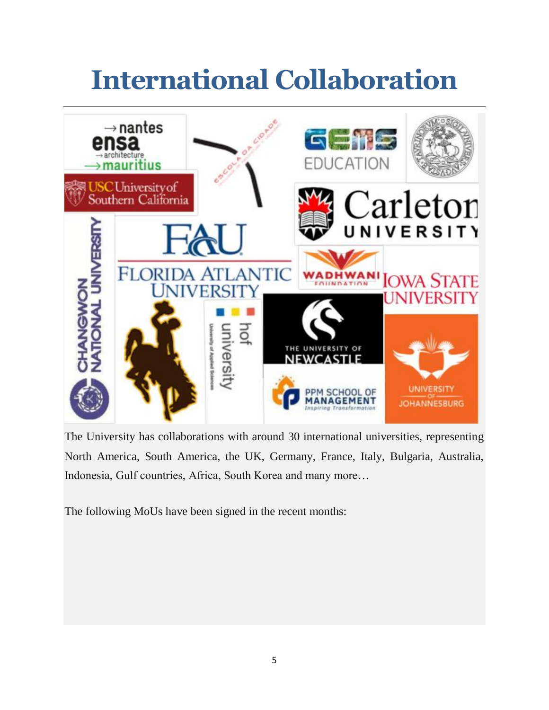# **International Collaboration**



The University has collaborations with around 30 international universities, representing North America, South America, the UK, Germany, France, Italy, Bulgaria, Australia, Indonesia, Gulf countries, Africa, South Korea and many more…

The following MoUs have been signed in the recent months: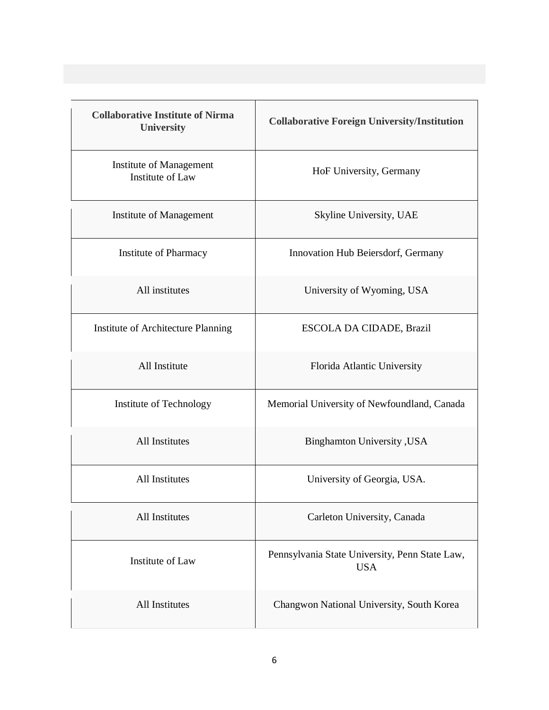| <b>Collaborative Institute of Nirma</b><br><b>University</b> | <b>Collaborative Foreign University/Institution</b>          |
|--------------------------------------------------------------|--------------------------------------------------------------|
| Institute of Management<br><b>Institute of Law</b>           | HoF University, Germany                                      |
| Institute of Management                                      | Skyline University, UAE                                      |
| Institute of Pharmacy                                        | Innovation Hub Beiersdorf, Germany                           |
| All institutes                                               | University of Wyoming, USA                                   |
| Institute of Architecture Planning                           | ESCOLA DA CIDADE, Brazil                                     |
| All Institute                                                | Florida Atlantic University                                  |
| Institute of Technology                                      | Memorial University of Newfoundland, Canada                  |
| All Institutes                                               | <b>Binghamton University</b> , USA                           |
| <b>All Institutes</b>                                        | University of Georgia, USA.                                  |
| All Institutes                                               | Carleton University, Canada                                  |
| Institute of Law                                             | Pennsylvania State University, Penn State Law,<br><b>USA</b> |
| All Institutes                                               | Changwon National University, South Korea                    |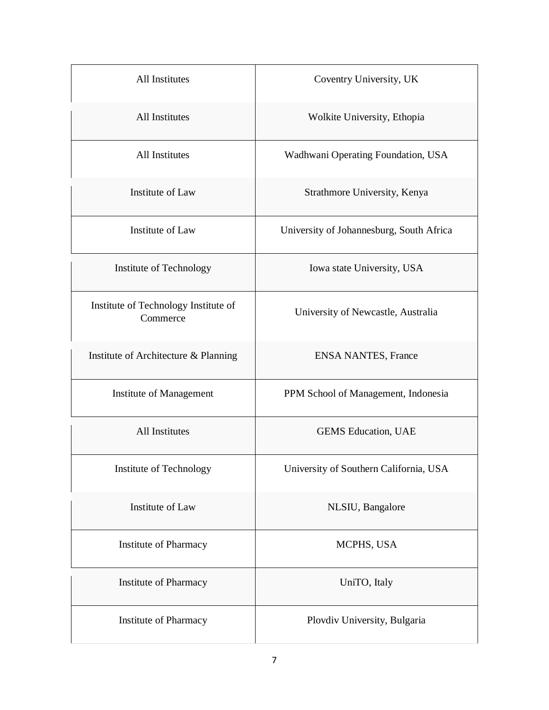| All Institutes                                   | Coventry University, UK                  |
|--------------------------------------------------|------------------------------------------|
| All Institutes                                   | Wolkite University, Ethopia              |
| <b>All Institutes</b>                            | Wadhwani Operating Foundation, USA       |
| Institute of Law                                 | Strathmore University, Kenya             |
| Institute of Law                                 | University of Johannesburg, South Africa |
| Institute of Technology                          | Iowa state University, USA               |
| Institute of Technology Institute of<br>Commerce | University of Newcastle, Australia       |
| Institute of Architecture & Planning             | <b>ENSA NANTES, France</b>               |
| <b>Institute of Management</b>                   | PPM School of Management, Indonesia      |
| All Institutes                                   | <b>GEMS</b> Education, UAE               |
| Institute of Technology                          | University of Southern California, USA   |
| <b>Institute of Law</b>                          | NLSIU, Bangalore                         |
| <b>Institute of Pharmacy</b>                     | MCPHS, USA                               |
| <b>Institute of Pharmacy</b>                     | UniTO, Italy                             |
| Institute of Pharmacy                            | Plovdiv University, Bulgaria             |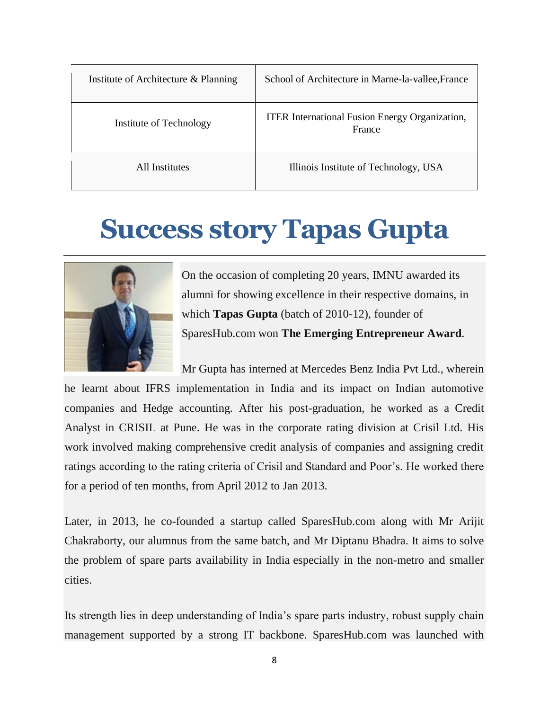| Institute of Architecture & Planning | School of Architecture in Marne-la-vallee, France               |
|--------------------------------------|-----------------------------------------------------------------|
| Institute of Technology              | <b>ITER</b> International Fusion Energy Organization,<br>France |
| All Institutes                       | Illinois Institute of Technology, USA                           |

### **Success story Tapas Gupta**



On the occasion of completing 20 years, IMNU awarded its alumni for showing excellence in their respective domains, in which **Tapas Gupta** (batch of 2010-12), founder of SparesHub.com won **The Emerging Entrepreneur Award**.

Mr Gupta has interned at Mercedes Benz India Pvt Ltd., wherein he learnt about IFRS implementation in India and its impact on Indian automotive companies and Hedge accounting. After his post-graduation, he worked as a Credit Analyst in CRISIL at Pune. He was in the corporate rating division at Crisil Ltd. His work involved making comprehensive credit analysis of companies and assigning credit ratings according to the rating criteria of Crisil and Standard and Poor's. He worked there for a period of ten months, from April 2012 to Jan 2013.

Later, in 2013, he co-founded a startup called SparesHub.com along with Mr Arijit Chakraborty, our alumnus from the same batch, and Mr Diptanu Bhadra. It aims to solve the problem of spare parts availability in India especially in the non-metro and smaller cities.

Its strength lies in deep understanding of India's spare parts industry, robust supply chain management supported by a strong IT backbone. SparesHub.com was launched with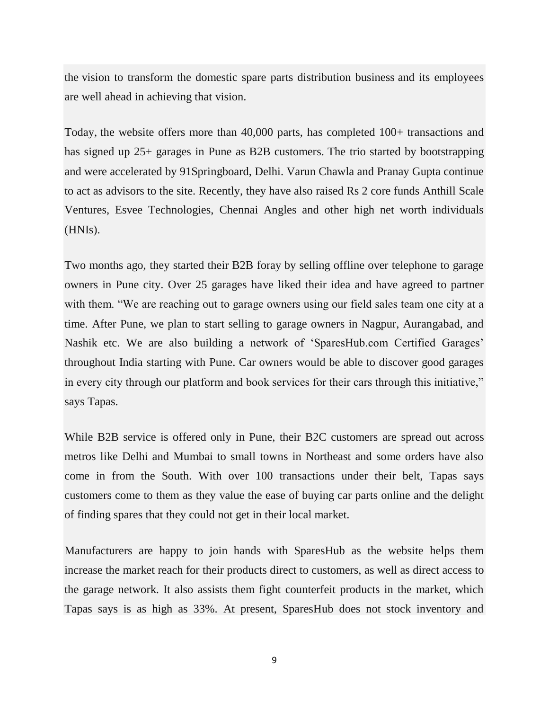the vision to transform the domestic spare parts distribution business and its employees are well ahead in achieving that vision.

Today, the website offers more than 40,000 parts, has completed 100+ transactions and has signed up 25+ garages in Pune as B2B customers. The trio started by bootstrapping and were accelerated by 91Springboard, Delhi. Varun Chawla and Pranay Gupta continue to act as advisors to the site. Recently, they have also raised Rs 2 core funds Anthill Scale Ventures, Esvee Technologies, Chennai Angles and other high net worth individuals (HNIs).

Two months ago, they started their B2B foray by selling offline over telephone to garage owners in Pune city. Over 25 garages have liked their idea and have agreed to partner with them. "We are reaching out to garage owners using our field sales team one city at a time. After Pune, we plan to start selling to garage owners in Nagpur, Aurangabad, and Nashik etc. We are also building a network of 'SparesHub.com Certified Garages' throughout India starting with Pune. Car owners would be able to discover good garages in every city through our platform and book services for their cars through this initiative," says Tapas.

While B2B service is offered only in Pune, their B2C customers are spread out across metros like Delhi and Mumbai to small towns in Northeast and some orders have also come in from the South. With over 100 transactions under their belt, Tapas says customers come to them as they value the ease of buying car parts online and the delight of finding spares that they could not get in their local market.

Manufacturers are happy to join hands with SparesHub as the website helps them increase the market reach for their products direct to customers, as well as direct access to the garage network. It also assists them fight counterfeit products in the market, which Tapas says is as high as 33%. At present, SparesHub does not stock inventory and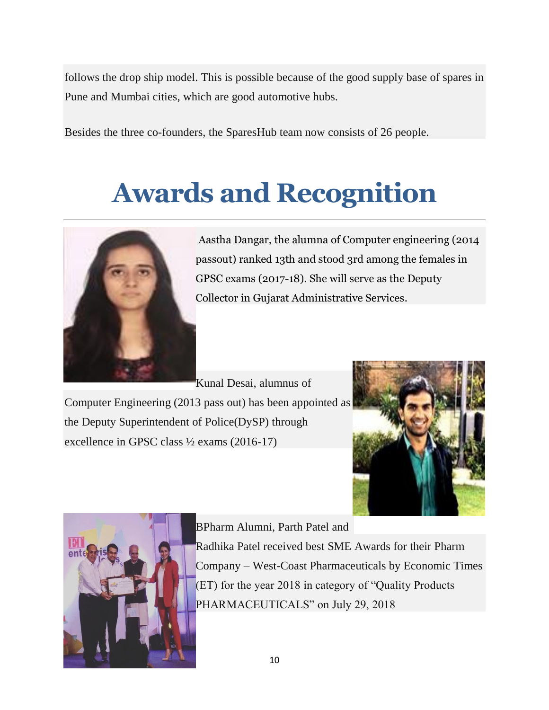follows the drop ship model. This is possible because of the good supply base of spares in Pune and Mumbai cities, which are good automotive hubs.

Besides the three co-founders, the SparesHub team now consists of 26 people.

# **Awards and Recognition**



Aastha Dangar, the alumna of Computer engineering (2014 passout) ranked 13th and stood 3rd among the females in GPSC exams (2017-18). She will serve as the Deputy Collector in Gujarat Administrative Services.

Kunal Desai, alumnus of Computer Engineering (2013 pass out) has been appointed as the Deputy Superintendent of Police(DySP) through excellence in GPSC class ½ exams (2016-17)





BPharm Alumni, Parth Patel and Radhika Patel received best SME Awards for their Pharm Company – West-Coast Pharmaceuticals by Economic Times (ET) for the year 2018 in category of "Quality Products PHARMACEUTICALS" on July 29, 2018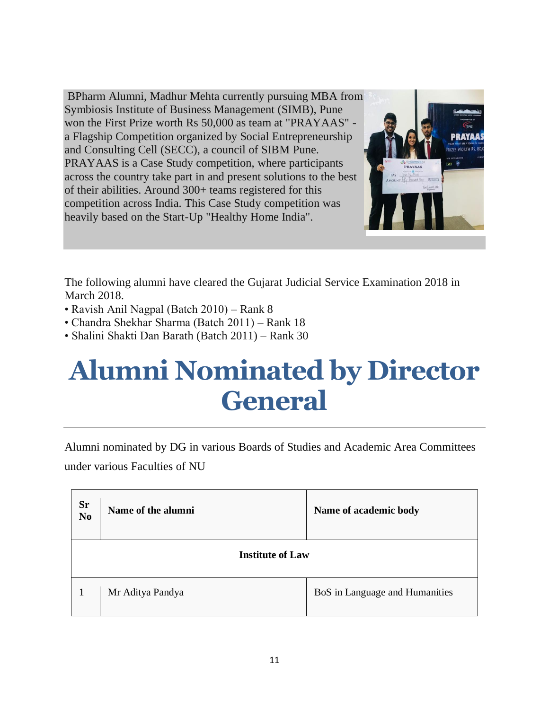BPharm Alumni, Madhur Mehta currently pursuing MBA from Symbiosis Institute of Business Management (SIMB), Pune won the First Prize worth Rs 50,000 as team at "PRAYAAS" a Flagship Competition organized by Social Entrepreneurship and Consulting Cell (SECC), a council of SIBM Pune. PRAYAAS is a Case Study competition, where participants across the country take part in and present solutions to the best of their abilities. Around 300+ teams registered for this competition across India. This Case Study competition was heavily based on the Start-Up "Healthy Home India".



The following alumni have cleared the Gujarat Judicial Service Examination 2018 in March 2018.

- Ravish Anil Nagpal (Batch 2010) Rank 8
- Chandra Shekhar Sharma (Batch 2011) Rank 18
- Shalini Shakti Dan Barath (Batch 2011) Rank 30

## **Alumni Nominated by Director General**

Alumni nominated by DG in various Boards of Studies and Academic Area Committees under various Faculties of NU

| <b>Sr</b><br>N <sub>0</sub> | Name of the alumni | Name of academic body          |
|-----------------------------|--------------------|--------------------------------|
| <b>Institute of Law</b>     |                    |                                |
|                             | Mr Aditya Pandya   | BoS in Language and Humanities |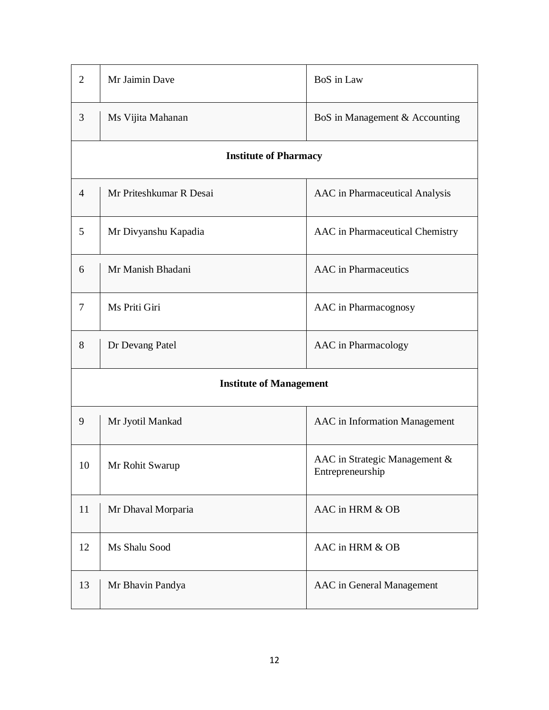| $\overline{2}$                 | Mr Jaimin Dave               | BoS in Law                                        |  |
|--------------------------------|------------------------------|---------------------------------------------------|--|
| 3                              | Ms Vijita Mahanan            | BoS in Management & Accounting                    |  |
|                                | <b>Institute of Pharmacy</b> |                                                   |  |
| $\overline{4}$                 | Mr Priteshkumar R Desai      | AAC in Pharmaceutical Analysis                    |  |
| 5                              | Mr Divyanshu Kapadia         | AAC in Pharmaceutical Chemistry                   |  |
| 6                              | Mr Manish Bhadani            | <b>AAC</b> in Pharmaceutics                       |  |
| 7                              | Ms Priti Giri                | AAC in Pharmacognosy                              |  |
| 8                              | Dr Devang Patel              | AAC in Pharmacology                               |  |
| <b>Institute of Management</b> |                              |                                                   |  |
| 9                              | Mr Jyotil Mankad             | AAC in Information Management                     |  |
| 10                             | Mr Rohit Swarup              | AAC in Strategic Management &<br>Entrepreneurship |  |
| 11                             | Mr Dhaval Morparia           | AAC in HRM & OB                                   |  |
| 12                             | Ms Shalu Sood                | AAC in HRM & OB                                   |  |
| 13                             | Mr Bhavin Pandya             | AAC in General Management                         |  |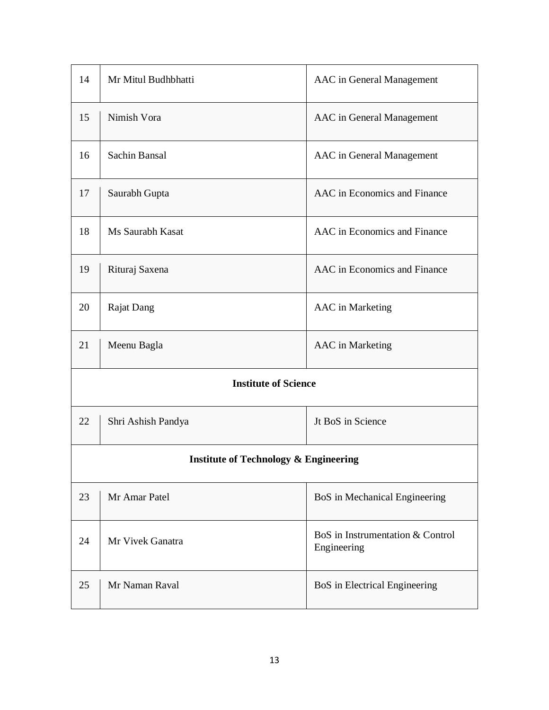| 14                                               | Mr Mitul Budhbhatti | AAC in General Management                       |
|--------------------------------------------------|---------------------|-------------------------------------------------|
| 15                                               | Nimish Vora         | AAC in General Management                       |
| 16                                               | Sachin Bansal       | AAC in General Management                       |
| 17                                               | Saurabh Gupta       | AAC in Economics and Finance                    |
| 18                                               | Ms Saurabh Kasat    | AAC in Economics and Finance                    |
| 19                                               | Rituraj Saxena      | AAC in Economics and Finance                    |
| 20                                               | <b>Rajat Dang</b>   | <b>AAC</b> in Marketing                         |
| 21                                               | Meenu Bagla         | AAC in Marketing                                |
| <b>Institute of Science</b>                      |                     |                                                 |
| 22                                               | Shri Ashish Pandya  | Jt BoS in Science                               |
| <b>Institute of Technology &amp; Engineering</b> |                     |                                                 |
| 23                                               | Mr Amar Patel       | BoS in Mechanical Engineering                   |
| 24                                               | Mr Vivek Ganatra    | BoS in Instrumentation & Control<br>Engineering |
| 25                                               | Mr Naman Raval      | BoS in Electrical Engineering                   |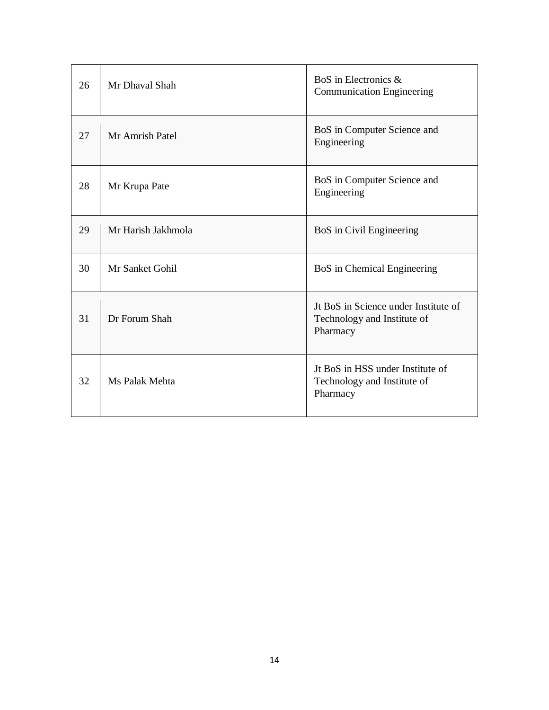| 26 | Mr Dhaval Shah     | BoS in Electronics &<br><b>Communication Engineering</b>                        |
|----|--------------------|---------------------------------------------------------------------------------|
| 27 | Mr Amrish Patel    | BoS in Computer Science and<br>Engineering                                      |
| 28 | Mr Krupa Pate      | BoS in Computer Science and<br>Engineering                                      |
| 29 | Mr Harish Jakhmola | BoS in Civil Engineering                                                        |
| 30 | Mr Sanket Gohil    | BoS in Chemical Engineering                                                     |
| 31 | Dr Forum Shah      | Jt BoS in Science under Institute of<br>Technology and Institute of<br>Pharmacy |
| 32 | Ms Palak Mehta     | Jt BoS in HSS under Institute of<br>Technology and Institute of<br>Pharmacy     |